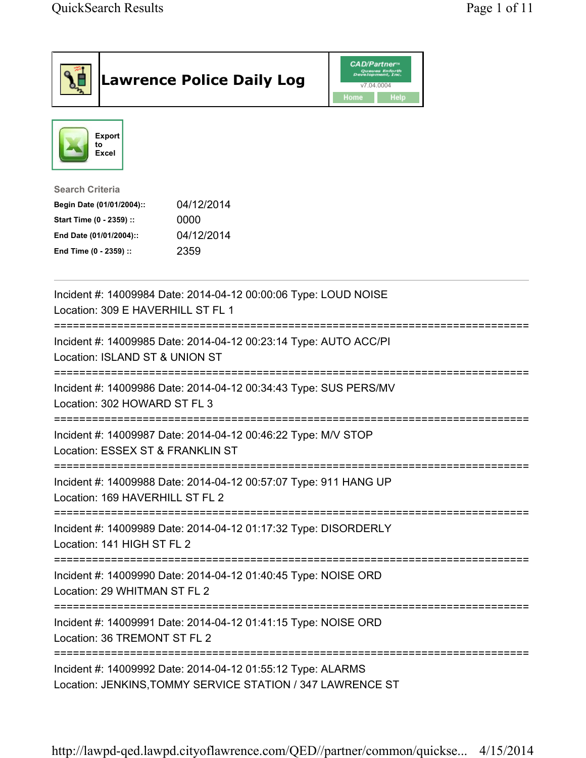|                                                                                                                           |                                                                                                      | <b>Lawrence Police Daily Log</b>                                                                         | <b>CAD/Partner</b> "<br>Queues Enforth<br>Development, Inc.<br>v7.04.0004<br>Home<br><b>Help</b> |  |  |  |
|---------------------------------------------------------------------------------------------------------------------------|------------------------------------------------------------------------------------------------------|----------------------------------------------------------------------------------------------------------|--------------------------------------------------------------------------------------------------|--|--|--|
|                                                                                                                           | <b>Export</b><br>to<br>Excel                                                                         |                                                                                                          |                                                                                                  |  |  |  |
| <b>Search Criteria</b><br>Start Time (0 - 2359) ::<br>End Date (01/01/2004)::<br>End Time (0 - 2359) ::                   | Begin Date (01/01/2004)::                                                                            | 04/12/2014<br>0000<br>04/12/2014<br>2359                                                                 |                                                                                                  |  |  |  |
|                                                                                                                           | Incident #: 14009984 Date: 2014-04-12 00:00:06 Type: LOUD NOISE<br>Location: 309 E HAVERHILL ST FL 1 |                                                                                                          |                                                                                                  |  |  |  |
|                                                                                                                           | Location: ISLAND ST & UNION ST                                                                       | ====================================<br>Incident #: 14009985 Date: 2014-04-12 00:23:14 Type: AUTO ACC/PI |                                                                                                  |  |  |  |
|                                                                                                                           | Location: 302 HOWARD ST FL 3                                                                         | Incident #: 14009986 Date: 2014-04-12 00:34:43 Type: SUS PERS/MV                                         |                                                                                                  |  |  |  |
| Incident #: 14009987 Date: 2014-04-12 00:46:22 Type: M/V STOP<br>Location: ESSEX ST & FRANKLIN ST                         |                                                                                                      |                                                                                                          |                                                                                                  |  |  |  |
|                                                                                                                           | Location: 169 HAVERHILL ST FL 2                                                                      | Incident #: 14009988 Date: 2014-04-12 00:57:07 Type: 911 HANG UP                                         |                                                                                                  |  |  |  |
| Incident #: 14009989 Date: 2014-04-12 01:17:32 Type: DISORDERLY<br>Location: 141 HIGH ST FL 2                             |                                                                                                      |                                                                                                          |                                                                                                  |  |  |  |
| Incident #: 14009990 Date: 2014-04-12 01:40:45 Type: NOISE ORD<br>Location: 29 WHITMAN ST FL 2                            |                                                                                                      |                                                                                                          |                                                                                                  |  |  |  |
|                                                                                                                           | Incident #: 14009991 Date: 2014-04-12 01:41:15 Type: NOISE ORD<br>Location: 36 TREMONT ST FL 2       |                                                                                                          |                                                                                                  |  |  |  |
| Incident #: 14009992 Date: 2014-04-12 01:55:12 Type: ALARMS<br>Location: JENKINS, TOMMY SERVICE STATION / 347 LAWRENCE ST |                                                                                                      |                                                                                                          |                                                                                                  |  |  |  |

http://lawpd-qed.lawpd.cityoflawrence.com/QED//partner/common/quickse... 4/15/2014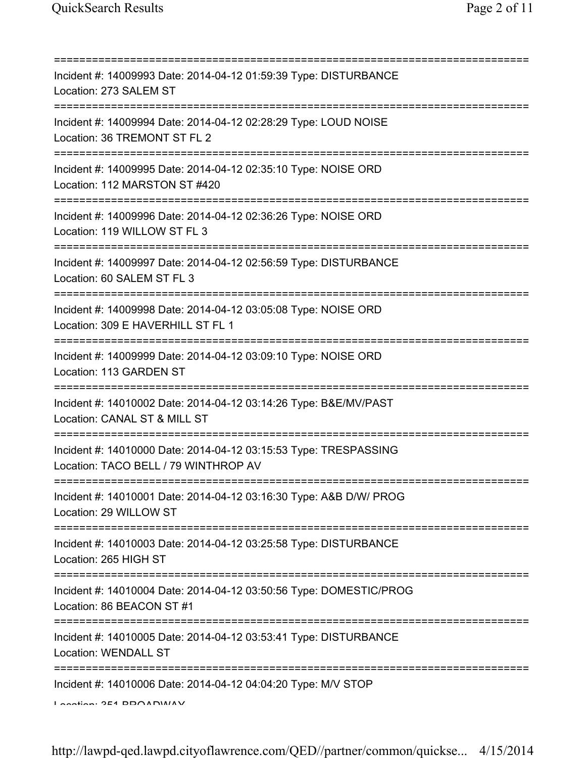| Incident #: 14009993 Date: 2014-04-12 01:59:39 Type: DISTURBANCE<br>Location: 273 SALEM ST               |
|----------------------------------------------------------------------------------------------------------|
| Incident #: 14009994 Date: 2014-04-12 02:28:29 Type: LOUD NOISE<br>Location: 36 TREMONT ST FL 2          |
| Incident #: 14009995 Date: 2014-04-12 02:35:10 Type: NOISE ORD<br>Location: 112 MARSTON ST #420          |
| Incident #: 14009996 Date: 2014-04-12 02:36:26 Type: NOISE ORD<br>Location: 119 WILLOW ST FL 3           |
| Incident #: 14009997 Date: 2014-04-12 02:56:59 Type: DISTURBANCE<br>Location: 60 SALEM ST FL 3           |
| Incident #: 14009998 Date: 2014-04-12 03:05:08 Type: NOISE ORD<br>Location: 309 E HAVERHILL ST FL 1      |
| Incident #: 14009999 Date: 2014-04-12 03:09:10 Type: NOISE ORD<br>Location: 113 GARDEN ST                |
| Incident #: 14010002 Date: 2014-04-12 03:14:26 Type: B&E/MV/PAST<br>Location: CANAL ST & MILL ST         |
| Incident #: 14010000 Date: 2014-04-12 03:15:53 Type: TRESPASSING<br>Location: TACO BELL / 79 WINTHROP AV |
| Incident #: 14010001 Date: 2014-04-12 03:16:30 Type: A&B D/W/ PROG<br>Location: 29 WILLOW ST             |
| Incident #: 14010003 Date: 2014-04-12 03:25:58 Type: DISTURBANCE<br>Location: 265 HIGH ST                |
| Incident #: 14010004 Date: 2014-04-12 03:50:56 Type: DOMESTIC/PROG<br>Location: 86 BEACON ST #1          |
| Incident #: 14010005 Date: 2014-04-12 03:53:41 Type: DISTURBANCE<br>Location: WENDALL ST                 |
| Incident #: 14010006 Date: 2014-04-12 04:04:20 Type: M/V STOP<br>$I$ and $I$ and $I$ and $I$ and $I$     |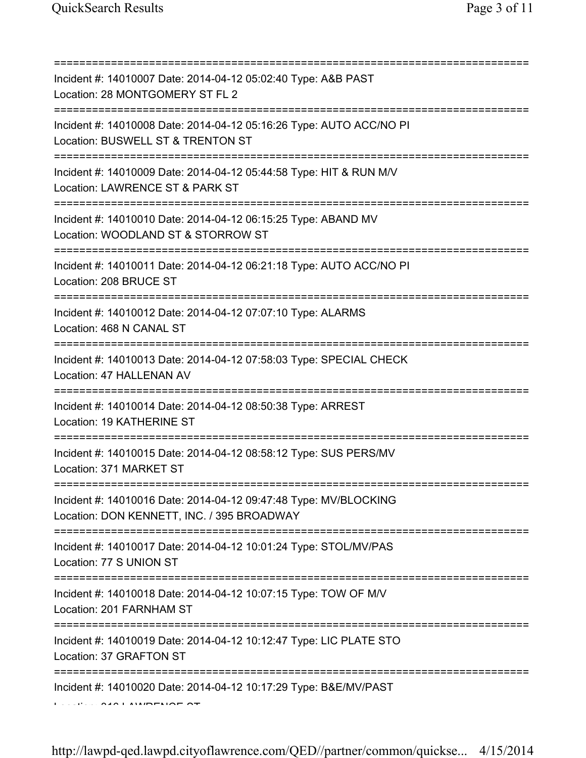| Incident #: 14010007 Date: 2014-04-12 05:02:40 Type: A&B PAST<br>Location: 28 MONTGOMERY ST FL 2<br>====================                      |
|-----------------------------------------------------------------------------------------------------------------------------------------------|
| Incident #: 14010008 Date: 2014-04-12 05:16:26 Type: AUTO ACC/NO PI<br>Location: BUSWELL ST & TRENTON ST                                      |
| Incident #: 14010009 Date: 2014-04-12 05:44:58 Type: HIT & RUN M/V<br>Location: LAWRENCE ST & PARK ST<br>;=================================== |
| Incident #: 14010010 Date: 2014-04-12 06:15:25 Type: ABAND MV<br>Location: WOODLAND ST & STORROW ST<br>.===================================   |
| Incident #: 14010011 Date: 2014-04-12 06:21:18 Type: AUTO ACC/NO PI<br>Location: 208 BRUCE ST                                                 |
| Incident #: 14010012 Date: 2014-04-12 07:07:10 Type: ALARMS<br>Location: 468 N CANAL ST                                                       |
| Incident #: 14010013 Date: 2014-04-12 07:58:03 Type: SPECIAL CHECK<br>Location: 47 HALLENAN AV                                                |
| Incident #: 14010014 Date: 2014-04-12 08:50:38 Type: ARREST<br>Location: 19 KATHERINE ST                                                      |
| Incident #: 14010015 Date: 2014-04-12 08:58:12 Type: SUS PERS/MV<br>Location: 371 MARKET ST                                                   |
| Incident #: 14010016 Date: 2014-04-12 09:47:48 Type: MV/BLOCKING<br>Location: DON KENNETT, INC. / 395 BROADWAY                                |
| Incident #: 14010017 Date: 2014-04-12 10:01:24 Type: STOL/MV/PAS<br>Location: 77 S UNION ST                                                   |
| Incident #: 14010018 Date: 2014-04-12 10:07:15 Type: TOW OF M/V<br>Location: 201 FARNHAM ST                                                   |
| Incident #: 14010019 Date: 2014-04-12 10:12:47 Type: LIC PLATE STO<br>Location: 37 GRAFTON ST                                                 |
| Incident #: 14010020 Date: 2014-04-12 10:17:29 Type: B&E/MV/PAST                                                                              |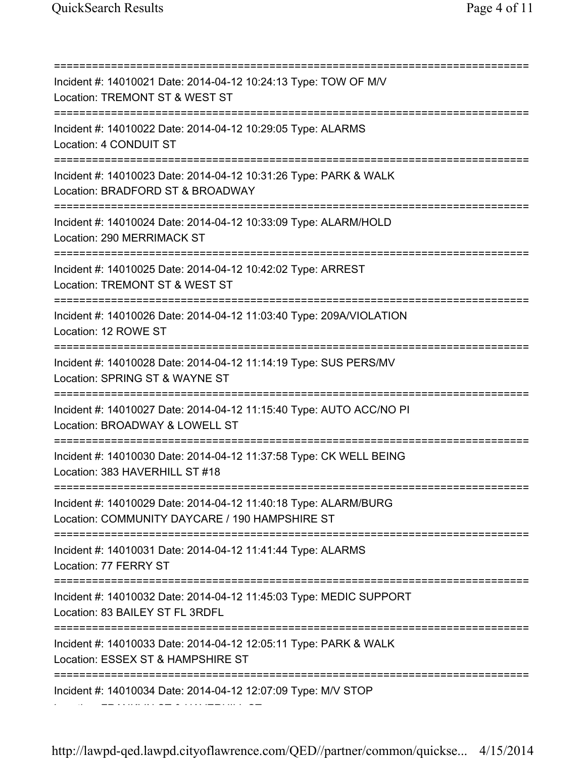=========================================================================== Incident #: 14010021 Date: 2014-04-12 10:24:13 Type: TOW OF M/V Location: TREMONT ST & WEST ST =========================================================================== Incident #: 14010022 Date: 2014-04-12 10:29:05 Type: ALARMS Location: 4 CONDUIT ST =========================================================================== Incident #: 14010023 Date: 2014-04-12 10:31:26 Type: PARK & WALK Location: BRADFORD ST & BROADWAY =========================================================================== Incident #: 14010024 Date: 2014-04-12 10:33:09 Type: ALARM/HOLD Location: 290 MERRIMACK ST =========================================================================== Incident #: 14010025 Date: 2014-04-12 10:42:02 Type: ARREST Location: TREMONT ST & WEST ST =========================================================================== Incident #: 14010026 Date: 2014-04-12 11:03:40 Type: 209A/VIOLATION Location: 12 ROWE ST =========================================================================== Incident #: 14010028 Date: 2014-04-12 11:14:19 Type: SUS PERS/MV Location: SPRING ST & WAYNE ST =========================================================================== Incident #: 14010027 Date: 2014-04-12 11:15:40 Type: AUTO ACC/NO PI Location: BROADWAY & LOWELL ST =========================================================================== Incident #: 14010030 Date: 2014-04-12 11:37:58 Type: CK WELL BEING Location: 383 HAVERHILL ST #18 =========================================================================== Incident #: 14010029 Date: 2014-04-12 11:40:18 Type: ALARM/BURG Location: COMMUNITY DAYCARE / 190 HAMPSHIRE ST =========================================================================== Incident #: 14010031 Date: 2014-04-12 11:41:44 Type: ALARMS Location: 77 FERRY ST =========================================================================== Incident #: 14010032 Date: 2014-04-12 11:45:03 Type: MEDIC SUPPORT Location: 83 BAILEY ST FL 3RDFL =========================================================================== Incident #: 14010033 Date: 2014-04-12 12:05:11 Type: PARK & WALK Location: ESSEX ST & HAMPSHIRE ST =========================================================================== Incident #: 14010034 Date: 2014-04-12 12:07:09 Type: M/V STOP Location: FRANKLIN ST & HAVERHILL ST

http://lawpd-qed.lawpd.cityoflawrence.com/QED//partner/common/quickse... 4/15/2014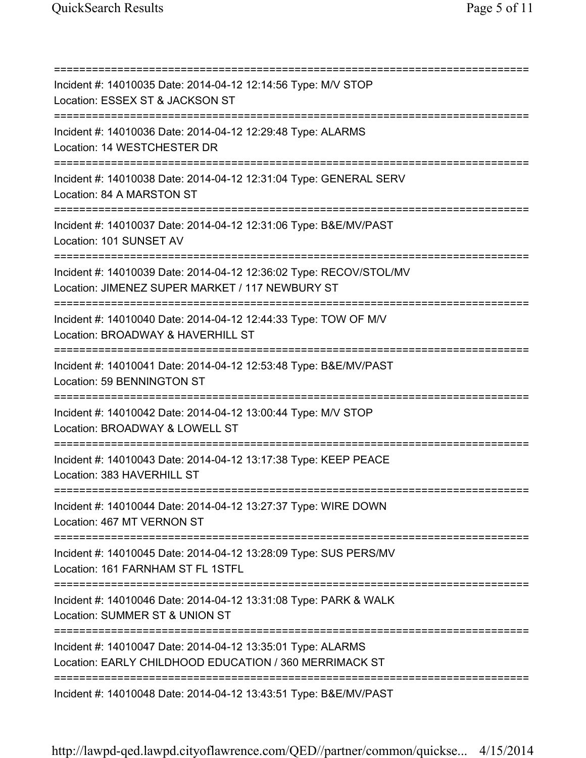=========================================================================== Incident #: 14010035 Date: 2014-04-12 12:14:56 Type: M/V STOP Location: ESSEX ST & JACKSON ST =========================================================================== Incident #: 14010036 Date: 2014-04-12 12:29:48 Type: ALARMS Location: 14 WESTCHESTER DR =========================================================================== Incident #: 14010038 Date: 2014-04-12 12:31:04 Type: GENERAL SERV Location: 84 A MARSTON ST =========================================================================== Incident #: 14010037 Date: 2014-04-12 12:31:06 Type: B&E/MV/PAST Location: 101 SUNSET AV =========================================================================== Incident #: 14010039 Date: 2014-04-12 12:36:02 Type: RECOV/STOL/MV Location: JIMENEZ SUPER MARKET / 117 NEWBURY ST =========================================================================== Incident #: 14010040 Date: 2014-04-12 12:44:33 Type: TOW OF M/V Location: BROADWAY & HAVERHILL ST =========================================================================== Incident #: 14010041 Date: 2014-04-12 12:53:48 Type: B&E/MV/PAST Location: 59 BENNINGTON ST =========================================================================== Incident #: 14010042 Date: 2014-04-12 13:00:44 Type: M/V STOP Location: BROADWAY & LOWELL ST =========================================================================== Incident #: 14010043 Date: 2014-04-12 13:17:38 Type: KEEP PEACE Location: 383 HAVERHILL ST =========================================================================== Incident #: 14010044 Date: 2014-04-12 13:27:37 Type: WIRE DOWN Location: 467 MT VERNON ST =========================================================================== Incident #: 14010045 Date: 2014-04-12 13:28:09 Type: SUS PERS/MV Location: 161 FARNHAM ST FL 1STFL =========================================================================== Incident #: 14010046 Date: 2014-04-12 13:31:08 Type: PARK & WALK Location: SUMMER ST & UNION ST =========================================================================== Incident #: 14010047 Date: 2014-04-12 13:35:01 Type: ALARMS Location: EARLY CHILDHOOD EDUCATION / 360 MERRIMACK ST =========================================================================== Incident #: 14010048 Date: 2014-04-12 13:43:51 Type: B&E/MV/PAST

http://lawpd-qed.lawpd.cityoflawrence.com/QED//partner/common/quickse... 4/15/2014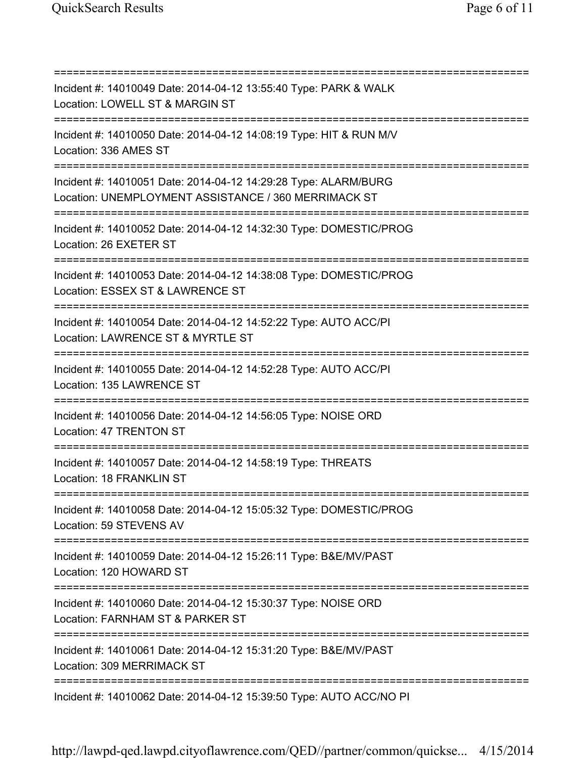=========================================================================== Incident #: 14010049 Date: 2014-04-12 13:55:40 Type: PARK & WALK Location: LOWELL ST & MARGIN ST =========================================================================== Incident #: 14010050 Date: 2014-04-12 14:08:19 Type: HIT & RUN M/V Location: 336 AMES ST =========================================================================== Incident #: 14010051 Date: 2014-04-12 14:29:28 Type: ALARM/BURG Location: UNEMPLOYMENT ASSISTANCE / 360 MERRIMACK ST =========================================================================== Incident #: 14010052 Date: 2014-04-12 14:32:30 Type: DOMESTIC/PROG Location: 26 EXETER ST =========================================================================== Incident #: 14010053 Date: 2014-04-12 14:38:08 Type: DOMESTIC/PROG Location: ESSEX ST & LAWRENCE ST =========================================================================== Incident #: 14010054 Date: 2014-04-12 14:52:22 Type: AUTO ACC/PI Location: LAWRENCE ST & MYRTLE ST =========================================================================== Incident #: 14010055 Date: 2014-04-12 14:52:28 Type: AUTO ACC/PI Location: 135 LAWRENCE ST =========================================================================== Incident #: 14010056 Date: 2014-04-12 14:56:05 Type: NOISE ORD Location: 47 TRENTON ST =========================================================================== Incident #: 14010057 Date: 2014-04-12 14:58:19 Type: THREATS Location: 18 FRANKLIN ST =========================================================================== Incident #: 14010058 Date: 2014-04-12 15:05:32 Type: DOMESTIC/PROG Location: 59 STEVENS AV =========================================================================== Incident #: 14010059 Date: 2014-04-12 15:26:11 Type: B&E/MV/PAST Location: 120 HOWARD ST =========================================================================== Incident #: 14010060 Date: 2014-04-12 15:30:37 Type: NOISE ORD Location: FARNHAM ST & PARKER ST =========================================================================== Incident #: 14010061 Date: 2014-04-12 15:31:20 Type: B&E/MV/PAST Location: 309 MERRIMACK ST =========================================================================== Incident #: 14010062 Date: 2014-04-12 15:39:50 Type: AUTO ACC/NO PI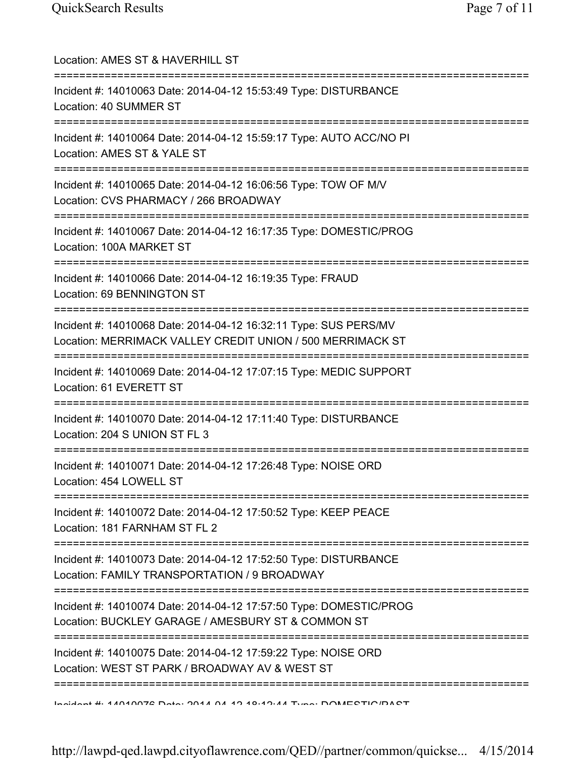| Location: AMES ST & HAVERHILL ST                                                                                                      |
|---------------------------------------------------------------------------------------------------------------------------------------|
| Incident #: 14010063 Date: 2014-04-12 15:53:49 Type: DISTURBANCE<br>Location: 40 SUMMER ST                                            |
| Incident #: 14010064 Date: 2014-04-12 15:59:17 Type: AUTO ACC/NO PI<br>Location: AMES ST & YALE ST                                    |
| Incident #: 14010065 Date: 2014-04-12 16:06:56 Type: TOW OF M/V<br>Location: CVS PHARMACY / 266 BROADWAY                              |
| Incident #: 14010067 Date: 2014-04-12 16:17:35 Type: DOMESTIC/PROG<br>Location: 100A MARKET ST<br>.---------------------------------- |
| Incident #: 14010066 Date: 2014-04-12 16:19:35 Type: FRAUD<br>Location: 69 BENNINGTON ST                                              |
| Incident #: 14010068 Date: 2014-04-12 16:32:11 Type: SUS PERS/MV<br>Location: MERRIMACK VALLEY CREDIT UNION / 500 MERRIMACK ST        |
| ====================<br>Incident #: 14010069 Date: 2014-04-12 17:07:15 Type: MEDIC SUPPORT<br>Location: 61 EVERETT ST                 |
| Incident #: 14010070 Date: 2014-04-12 17:11:40 Type: DISTURBANCE<br>Location: 204 S UNION ST FL 3                                     |
| Incident #: 14010071 Date: 2014-04-12 17:26:48 Type: NOISE ORD<br>Location: 454 LOWELL ST                                             |
| ====================<br>Incident #: 14010072 Date: 2014-04-12 17:50:52 Type: KEEP PEACE<br>Location: 181 FARNHAM ST FL 2              |
| Incident #: 14010073 Date: 2014-04-12 17:52:50 Type: DISTURBANCE<br>Location: FAMILY TRANSPORTATION / 9 BROADWAY                      |
| Incident #: 14010074 Date: 2014-04-12 17:57:50 Type: DOMESTIC/PROG<br>Location: BUCKLEY GARAGE / AMESBURY ST & COMMON ST              |
| Incident #: 14010075 Date: 2014-04-12 17:59:22 Type: NOISE ORD<br>Location: WEST ST PARK / BROADWAY AV & WEST ST                      |
| Incident #: 11010072 Dota: 2011 01 10 10:10:11 Tune: DOMECTIO/DACT                                                                    |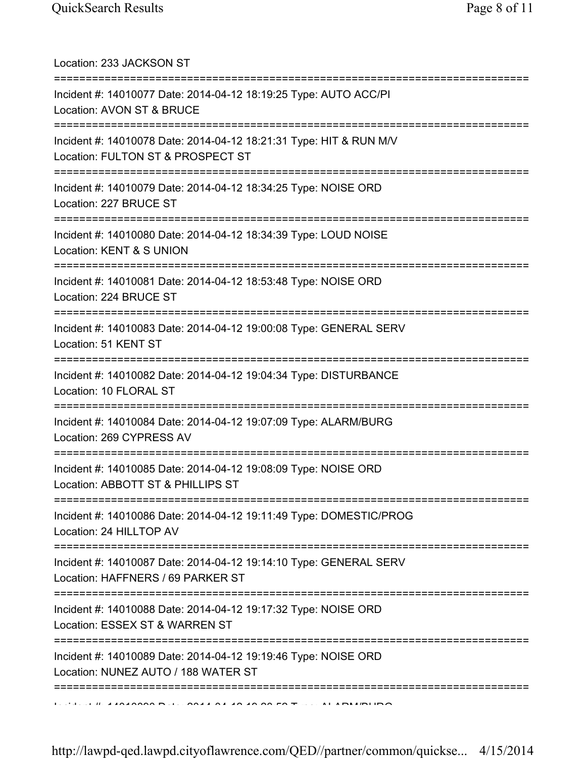| Location: 233 JACKSON ST<br>======================================                                                                             |
|------------------------------------------------------------------------------------------------------------------------------------------------|
| Incident #: 14010077 Date: 2014-04-12 18:19:25 Type: AUTO ACC/PI<br>Location: AVON ST & BRUCE<br>====================================          |
| Incident #: 14010078 Date: 2014-04-12 18:21:31 Type: HIT & RUN M/V<br>Location: FULTON ST & PROSPECT ST<br>=================================== |
| Incident #: 14010079 Date: 2014-04-12 18:34:25 Type: NOISE ORD<br>Location: 227 BRUCE ST<br>=============================                      |
| Incident #: 14010080 Date: 2014-04-12 18:34:39 Type: LOUD NOISE<br>Location: KENT & S UNION                                                    |
| Incident #: 14010081 Date: 2014-04-12 18:53:48 Type: NOISE ORD<br>Location: 224 BRUCE ST                                                       |
| Incident #: 14010083 Date: 2014-04-12 19:00:08 Type: GENERAL SERV<br>Location: 51 KENT ST                                                      |
| ================================<br>Incident #: 14010082 Date: 2014-04-12 19:04:34 Type: DISTURBANCE<br>Location: 10 FLORAL ST                 |
| Incident #: 14010084 Date: 2014-04-12 19:07:09 Type: ALARM/BURG<br>Location: 269 CYPRESS AV                                                    |
| Incident #: 14010085 Date: 2014-04-12 19:08:09 Type: NOISE ORD<br>Location: ABBOTT ST & PHILLIPS ST                                            |
| Incident #: 14010086 Date: 2014-04-12 19:11:49 Type: DOMESTIC/PROG<br>Location: 24 HILLTOP AV                                                  |
| :==============================<br>Incident #: 14010087 Date: 2014-04-12 19:14:10 Type: GENERAL SERV<br>Location: HAFFNERS / 69 PARKER ST      |
| ============<br>Incident #: 14010088 Date: 2014-04-12 19:17:32 Type: NOISE ORD<br>Location: ESSEX ST & WARREN ST                               |
| Incident #: 14010089 Date: 2014-04-12 19:19:46 Type: NOISE ORD<br>Location: NUNEZ AUTO / 188 WATER ST                                          |
|                                                                                                                                                |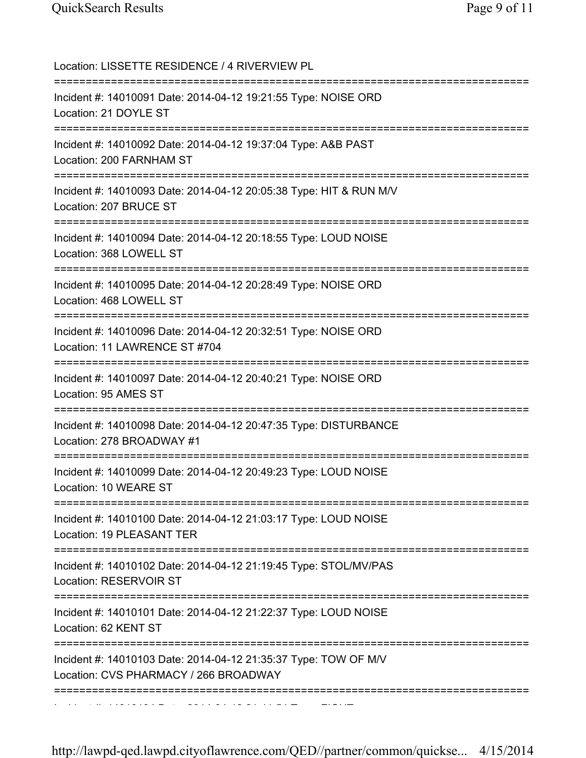| Location: LISSETTE RESIDENCE / 4 RIVERVIEW PL                                                                                     |
|-----------------------------------------------------------------------------------------------------------------------------------|
| Incident #: 14010091 Date: 2014-04-12 19:21:55 Type: NOISE ORD<br>Location: 21 DOYLE ST                                           |
| Incident #: 14010092 Date: 2014-04-12 19:37:04 Type: A&B PAST<br>Location: 200 FARNHAM ST                                         |
| Incident #: 14010093 Date: 2014-04-12 20:05:38 Type: HIT & RUN M/V<br>Location: 207 BRUCE ST                                      |
| Incident #: 14010094 Date: 2014-04-12 20:18:55 Type: LOUD NOISE<br>Location: 368 LOWELL ST                                        |
| Incident #: 14010095 Date: 2014-04-12 20:28:49 Type: NOISE ORD<br>Location: 468 LOWELL ST                                         |
| Incident #: 14010096 Date: 2014-04-12 20:32:51 Type: NOISE ORD<br>Location: 11 LAWRENCE ST #704                                   |
| Incident #: 14010097 Date: 2014-04-12 20:40:21 Type: NOISE ORD<br>Location: 95 AMES ST                                            |
| Incident #: 14010098 Date: 2014-04-12 20:47:35 Type: DISTURBANCE<br>Location: 278 BROADWAY #1                                     |
| Incident #: 14010099 Date: 2014-04-12 20:49:23 Type: LOUD NOISE<br>Location: 10 WEARE ST                                          |
| Incident #: 14010100 Date: 2014-04-12 21:03:17 Type: LOUD NOISE<br>Location: 19 PLEASANT TER                                      |
| Incident #: 14010102 Date: 2014-04-12 21:19:45 Type: STOL/MV/PAS<br>Location: RESERVOIR ST                                        |
| Incident #: 14010101 Date: 2014-04-12 21:22:37 Type: LOUD NOISE<br>Location: 62 KENT ST                                           |
| =====================<br>Incident #: 14010103 Date: 2014-04-12 21:35:37 Type: TOW OF M/V<br>Location: CVS PHARMACY / 266 BROADWAY |
|                                                                                                                                   |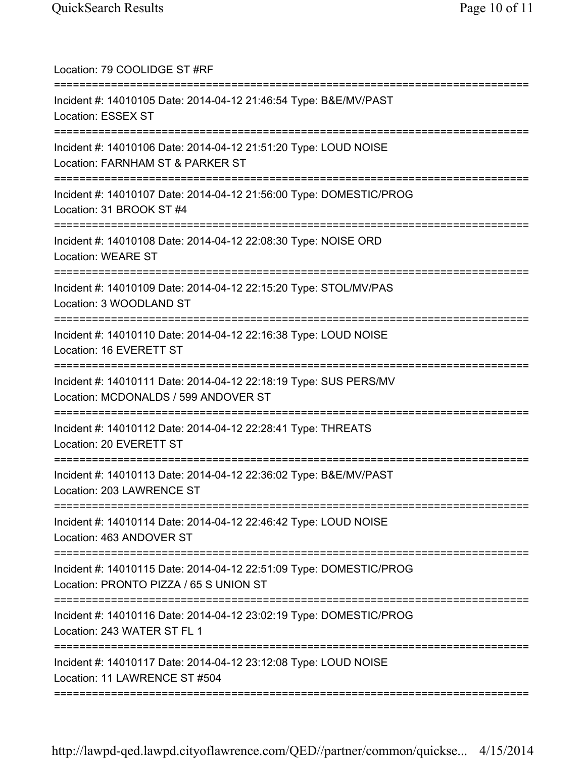| Location: 79 COOLIDGE ST #RF<br>==================================                                                                            |
|-----------------------------------------------------------------------------------------------------------------------------------------------|
| Incident #: 14010105 Date: 2014-04-12 21:46:54 Type: B&E/MV/PAST<br>Location: ESSEX ST<br>.===================================                |
| Incident #: 14010106 Date: 2014-04-12 21:51:20 Type: LOUD NOISE<br>Location: FARNHAM ST & PARKER ST<br>=====================<br>:============ |
| Incident #: 14010107 Date: 2014-04-12 21:56:00 Type: DOMESTIC/PROG<br>Location: 31 BROOK ST #4                                                |
| Incident #: 14010108 Date: 2014-04-12 22:08:30 Type: NOISE ORD<br><b>Location: WEARE ST</b>                                                   |
| Incident #: 14010109 Date: 2014-04-12 22:15:20 Type: STOL/MV/PAS<br>Location: 3 WOODLAND ST                                                   |
| Incident #: 14010110 Date: 2014-04-12 22:16:38 Type: LOUD NOISE<br>Location: 16 EVERETT ST<br>====================================            |
| Incident #: 14010111 Date: 2014-04-12 22:18:19 Type: SUS PERS/MV<br>Location: MCDONALDS / 599 ANDOVER ST                                      |
| Incident #: 14010112 Date: 2014-04-12 22:28:41 Type: THREATS<br>Location: 20 EVERETT ST                                                       |
| Incident #: 14010113 Date: 2014-04-12 22:36:02 Type: B&E/MV/PAST<br>Location: 203 LAWRENCE ST                                                 |
| Incident #: 14010114 Date: 2014-04-12 22:46:42 Type: LOUD NOISE<br>Location: 463 ANDOVER ST                                                   |
| Incident #: 14010115 Date: 2014-04-12 22:51:09 Type: DOMESTIC/PROG<br>Location: PRONTO PIZZA / 65 S UNION ST                                  |
| Incident #: 14010116 Date: 2014-04-12 23:02:19 Type: DOMESTIC/PROG<br>Location: 243 WATER ST FL 1                                             |
| Incident #: 14010117 Date: 2014-04-12 23:12:08 Type: LOUD NOISE<br>Location: 11 LAWRENCE ST #504                                              |